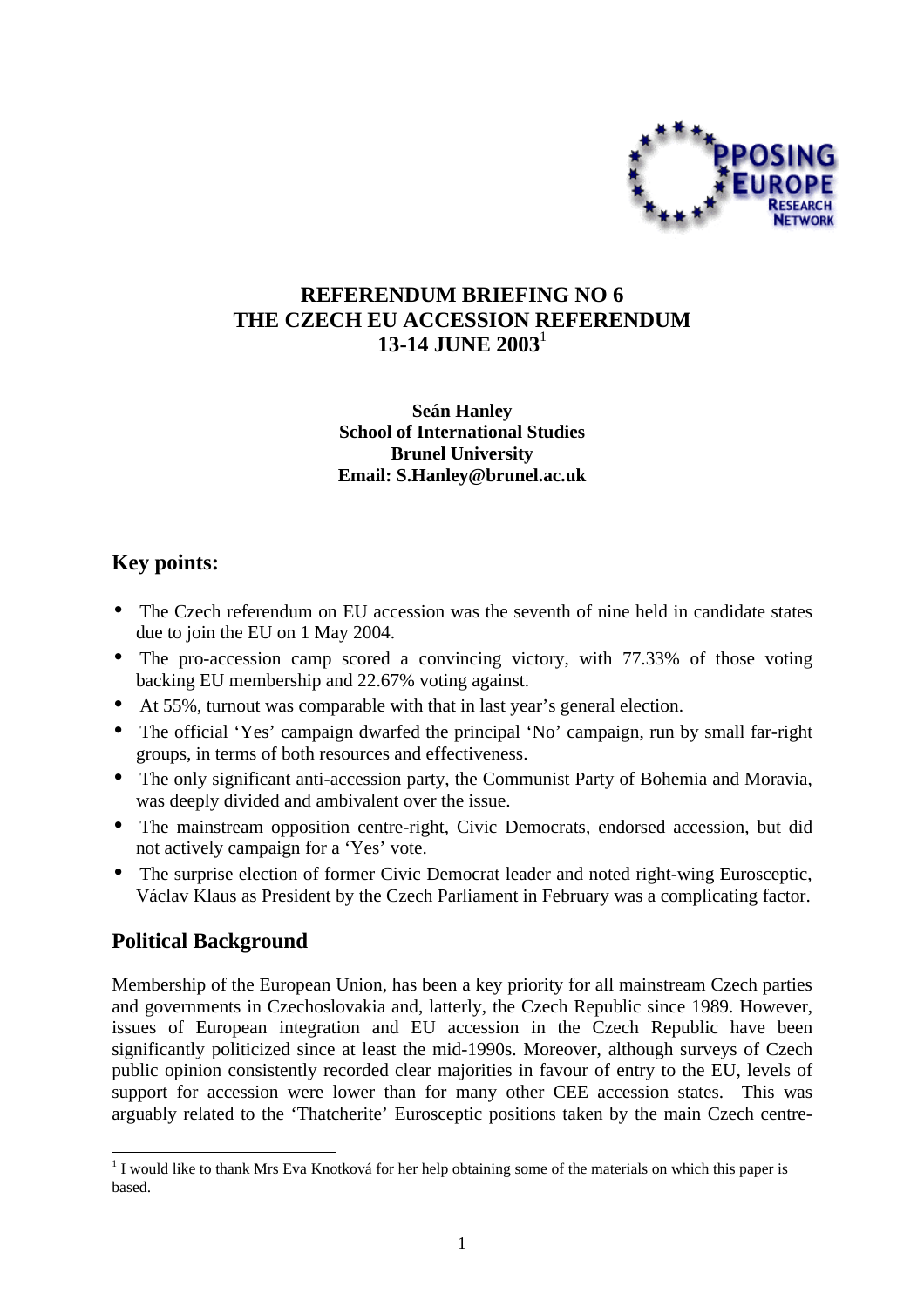

# **REFERENDUM BRIEFING NO 6 THE CZECH EU ACCESSION REFERENDUM 13-14 JUNE 2003**<sup>1</sup>

#### **Seán Hanley School of International Studies Brunel University Email: S.Hanley@brunel.ac.uk**

# **Key points:**

- The Czech referendum on EU accession was the seventh of nine held in candidate states due to join the EU on 1 May 2004.
- The pro-accession camp scored a convincing victory, with 77.33% of those voting backing EU membership and 22.67% voting against.
- At 55%, turnout was comparable with that in last year's general election.
- The official 'Yes' campaign dwarfed the principal 'No' campaign, run by small far-right groups, in terms of both resources and effectiveness.
- The only significant anti-accession party, the Communist Party of Bohemia and Moravia, was deeply divided and ambivalent over the issue.
- The mainstream opposition centre-right, Civic Democrats, endorsed accession, but did not actively campaign for a 'Yes' vote.
- The surprise election of former Civic Democrat leader and noted right-wing Eurosceptic, Václav Klaus as President by the Czech Parliament in February was a complicating factor.

# **Political Background**

Membership of the European Union, has been a key priority for all mainstream Czech parties and governments in Czechoslovakia and, latterly, the Czech Republic since 1989. However, issues of European integration and EU accession in the Czech Republic have been significantly politicized since at least the mid-1990s. Moreover, although surveys of Czech public opinion consistently recorded clear majorities in favour of entry to the EU, levels of support for accession were lower than for many other CEE accession states. This was arguably related to the 'Thatcherite' Eurosceptic positions taken by the main Czech centre-

l <sup>1</sup> I would like to thank Mrs Eva Knotková for her help obtaining some of the materials on which this paper is based.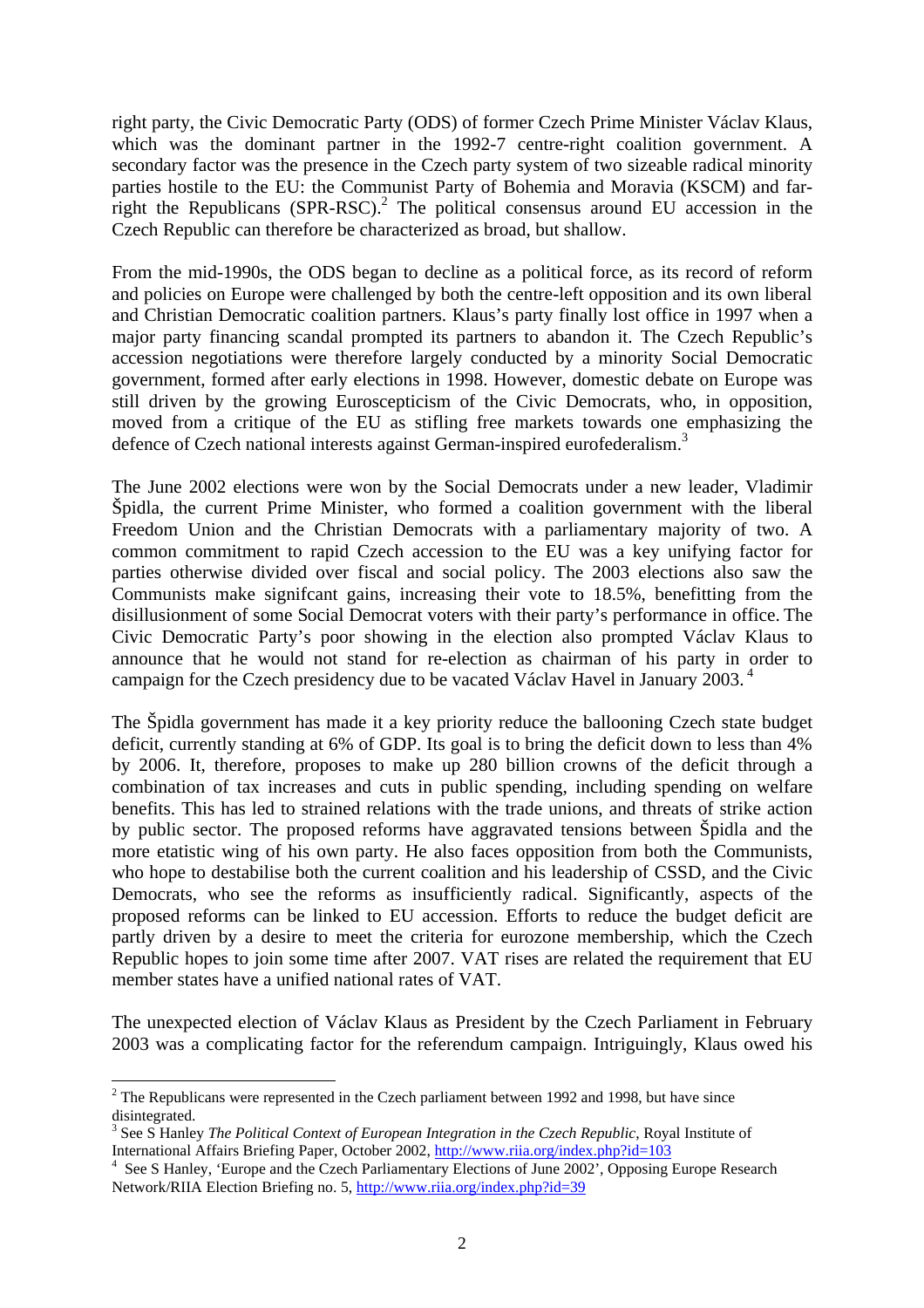right party, the Civic Democratic Party (ODS) of former Czech Prime Minister Václav Klaus, which was the dominant partner in the 1992-7 centre-right coalition government. A secondary factor was the presence in the Czech party system of two sizeable radical minority parties hostile to the EU: the Communist Party of Bohemia and Moravia (KSCM) and far $r$ ight the Republicans (SPR-RSC).<sup>2</sup> The political consensus around EU accession in the Czech Republic can therefore be characterized as broad, but shallow.

From the mid-1990s, the ODS began to decline as a political force, as its record of reform and policies on Europe were challenged by both the centre-left opposition and its own liberal and Christian Democratic coalition partners. Klaus's party finally lost office in 1997 when a major party financing scandal prompted its partners to abandon it. The Czech Republic's accession negotiations were therefore largely conducted by a minority Social Democratic government, formed after early elections in 1998. However, domestic debate on Europe was still driven by the growing Euroscepticism of the Civic Democrats, who, in opposition, moved from a critique of the EU as stifling free markets towards one emphasizing the defence of Czech national interests against German-inspired eurofederalism.<sup>3</sup>

The June 2002 elections were won by the Social Democrats under a new leader, Vladimir Špidla, the current Prime Minister, who formed a coalition government with the liberal Freedom Union and the Christian Democrats with a parliamentary majority of two. A common commitment to rapid Czech accession to the EU was a key unifying factor for parties otherwise divided over fiscal and social policy. The 2003 elections also saw the Communists make signifcant gains, increasing their vote to 18.5%, benefitting from the disillusionment of some Social Democrat voters with their party's performance in office. The Civic Democratic Party's poor showing in the election also prompted Václav Klaus to announce that he would not stand for re-election as chairman of his party in order to campaign for the Czech presidency due to be vacated Václav Havel in January 2003. <sup>4</sup>

The Špidla government has made it a key priority reduce the ballooning Czech state budget deficit, currently standing at 6% of GDP. Its goal is to bring the deficit down to less than 4% by 2006. It, therefore, proposes to make up 280 billion crowns of the deficit through a combination of tax increases and cuts in public spending, including spending on welfare benefits. This has led to strained relations with the trade unions, and threats of strike action by public sector. The proposed reforms have aggravated tensions between Špidla and the more etatistic wing of his own party. He also faces opposition from both the Communists, who hope to destabilise both the current coalition and his leadership of CSSD, and the Civic Democrats, who see the reforms as insufficiently radical. Significantly, aspects of the proposed reforms can be linked to EU accession. Efforts to reduce the budget deficit are partly driven by a desire to meet the criteria for eurozone membership, which the Czech Republic hopes to join some time after 2007. VAT rises are related the requirement that EU member states have a unified national rates of VAT.

The unexpected election of Václav Klaus as President by the Czech Parliament in February 2003 was a complicating factor for the referendum campaign. Intriguingly, Klaus owed his

l

 $2^2$  The Republicans were represented in the Czech parliament between 1992 and 1998, but have since disintegrated.

<sup>3</sup> See S Hanley *The Political Context of European Integration in the Czech Republic*, Royal Institute of International Affairs Briefing Paper, October 2002, http://www.riia.org/index.php?id=103

<sup>4</sup> See S Hanley, 'Europe and the Czech Parliamentary Elections of June 2002'*,* Opposing Europe Research Network/RIIA Election Briefing no. 5, http://www.riia.org/index.php?id=39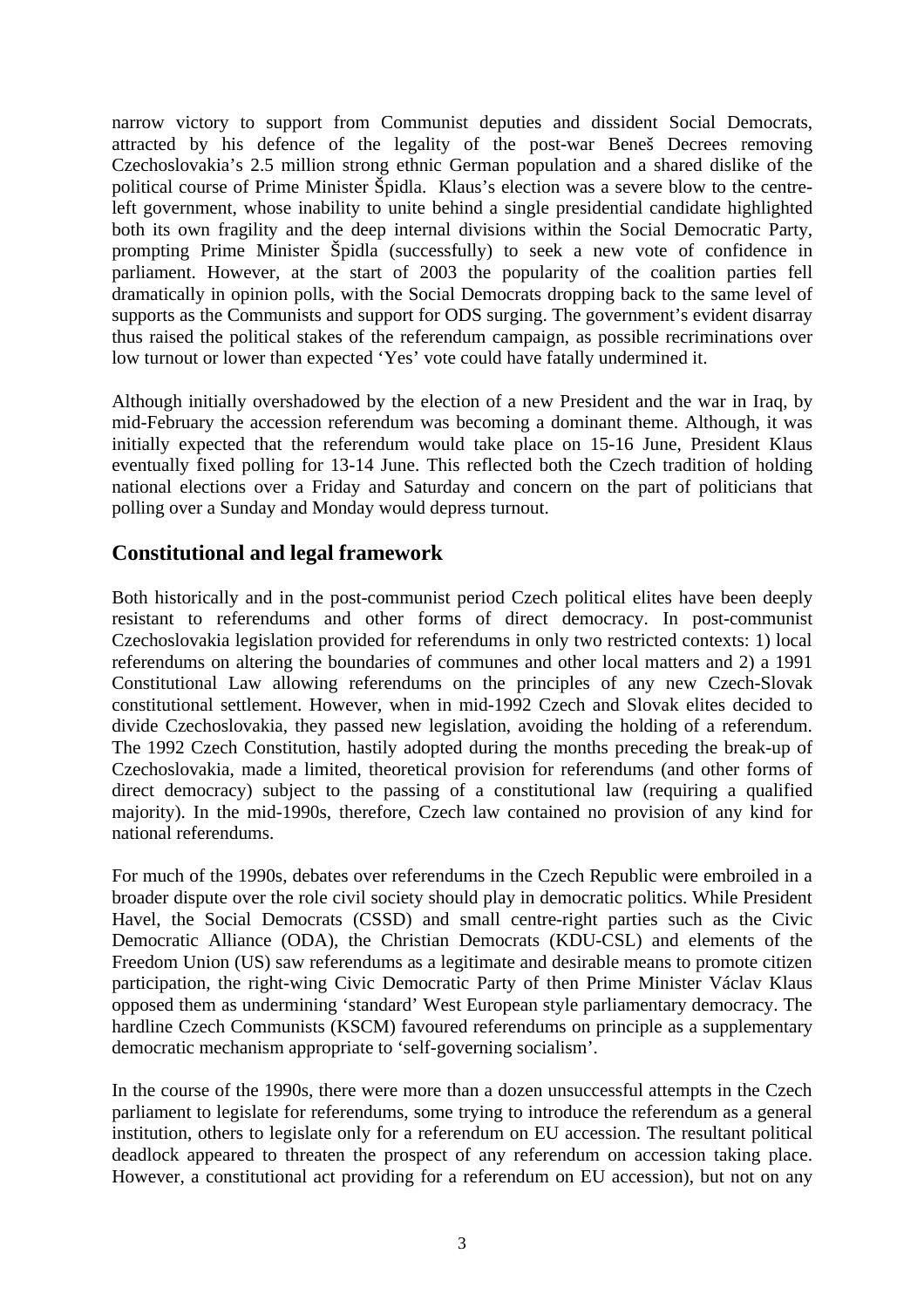narrow victory to support from Communist deputies and dissident Social Democrats, attracted by his defence of the legality of the post-war Beneš Decrees removing Czechoslovakia's 2.5 million strong ethnic German population and a shared dislike of the political course of Prime Minister Špidla. Klaus's election was a severe blow to the centreleft government, whose inability to unite behind a single presidential candidate highlighted both its own fragility and the deep internal divisions within the Social Democratic Party, prompting Prime Minister Špidla (successfully) to seek a new vote of confidence in parliament. However, at the start of 2003 the popularity of the coalition parties fell dramatically in opinion polls, with the Social Democrats dropping back to the same level of supports as the Communists and support for ODS surging. The government's evident disarray thus raised the political stakes of the referendum campaign, as possible recriminations over low turnout or lower than expected 'Yes' vote could have fatally undermined it.

Although initially overshadowed by the election of a new President and the war in Iraq, by mid-February the accession referendum was becoming a dominant theme. Although, it was initially expected that the referendum would take place on 15-16 June, President Klaus eventually fixed polling for 13-14 June. This reflected both the Czech tradition of holding national elections over a Friday and Saturday and concern on the part of politicians that polling over a Sunday and Monday would depress turnout.

## **Constitutional and legal framework**

Both historically and in the post-communist period Czech political elites have been deeply resistant to referendums and other forms of direct democracy. In post-communist Czechoslovakia legislation provided for referendums in only two restricted contexts: 1) local referendums on altering the boundaries of communes and other local matters and 2) a 1991 Constitutional Law allowing referendums on the principles of any new Czech-Slovak constitutional settlement. However, when in mid-1992 Czech and Slovak elites decided to divide Czechoslovakia, they passed new legislation, avoiding the holding of a referendum. The 1992 Czech Constitution, hastily adopted during the months preceding the break-up of Czechoslovakia, made a limited, theoretical provision for referendums (and other forms of direct democracy) subject to the passing of a constitutional law (requiring a qualified majority). In the mid-1990s, therefore, Czech law contained no provision of any kind for national referendums.

For much of the 1990s, debates over referendums in the Czech Republic were embroiled in a broader dispute over the role civil society should play in democratic politics. While President Havel, the Social Democrats (CSSD) and small centre-right parties such as the Civic Democratic Alliance (ODA), the Christian Democrats (KDU-CSL) and elements of the Freedom Union (US) saw referendums as a legitimate and desirable means to promote citizen participation, the right-wing Civic Democratic Party of then Prime Minister Václav Klaus opposed them as undermining 'standard' West European style parliamentary democracy. The hardline Czech Communists (KSCM) favoured referendums on principle as a supplementary democratic mechanism appropriate to 'self-governing socialism'.

In the course of the 1990s, there were more than a dozen unsuccessful attempts in the Czech parliament to legislate for referendums, some trying to introduce the referendum as a general institution, others to legislate only for a referendum on EU accession. The resultant political deadlock appeared to threaten the prospect of any referendum on accession taking place. However, a constitutional act providing for a referendum on EU accession), but not on any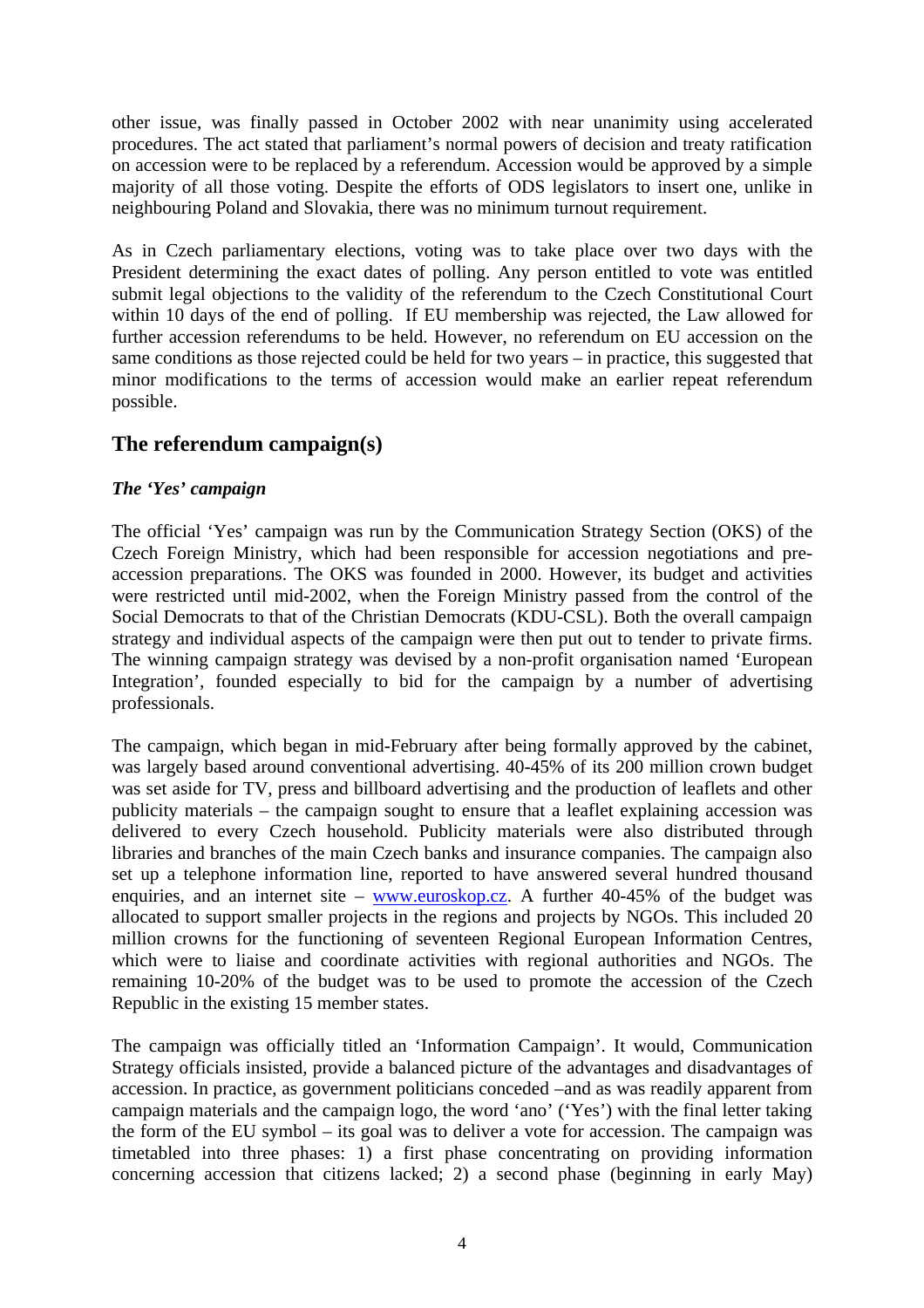other issue, was finally passed in October 2002 with near unanimity using accelerated procedures. The act stated that parliament's normal powers of decision and treaty ratification on accession were to be replaced by a referendum. Accession would be approved by a simple majority of all those voting. Despite the efforts of ODS legislators to insert one, unlike in neighbouring Poland and Slovakia, there was no minimum turnout requirement.

As in Czech parliamentary elections, voting was to take place over two days with the President determining the exact dates of polling. Any person entitled to vote was entitled submit legal objections to the validity of the referendum to the Czech Constitutional Court within 10 days of the end of polling. If EU membership was rejected, the Law allowed for further accession referendums to be held. However, no referendum on EU accession on the same conditions as those rejected could be held for two years – in practice, this suggested that minor modifications to the terms of accession would make an earlier repeat referendum possible.

## **The referendum campaign(s)**

### *The 'Yes' campaign*

The official 'Yes' campaign was run by the Communication Strategy Section (OKS) of the Czech Foreign Ministry, which had been responsible for accession negotiations and preaccession preparations. The OKS was founded in 2000. However, its budget and activities were restricted until mid-2002, when the Foreign Ministry passed from the control of the Social Democrats to that of the Christian Democrats (KDU-CSL). Both the overall campaign strategy and individual aspects of the campaign were then put out to tender to private firms. The winning campaign strategy was devised by a non-profit organisation named 'European Integration', founded especially to bid for the campaign by a number of advertising professionals.

The campaign, which began in mid-February after being formally approved by the cabinet, was largely based around conventional advertising. 40-45% of its 200 million crown budget was set aside for TV, press and billboard advertising and the production of leaflets and other publicity materials – the campaign sought to ensure that a leaflet explaining accession was delivered to every Czech household. Publicity materials were also distributed through libraries and branches of the main Czech banks and insurance companies. The campaign also set up a telephone information line, reported to have answered several hundred thousand enquiries, and an internet site – www.euroskop.cz. A further 40-45% of the budget was allocated to support smaller projects in the regions and projects by NGOs. This included 20 million crowns for the functioning of seventeen Regional European Information Centres, which were to liaise and coordinate activities with regional authorities and NGOs. The remaining 10-20% of the budget was to be used to promote the accession of the Czech Republic in the existing 15 member states.

The campaign was officially titled an 'Information Campaign'. It would, Communication Strategy officials insisted, provide a balanced picture of the advantages and disadvantages of accession. In practice, as government politicians conceded –and as was readily apparent from campaign materials and the campaign logo, the word 'ano' ('Yes') with the final letter taking the form of the EU symbol – its goal was to deliver a vote for accession. The campaign was timetabled into three phases: 1) a first phase concentrating on providing information concerning accession that citizens lacked; 2) a second phase (beginning in early May)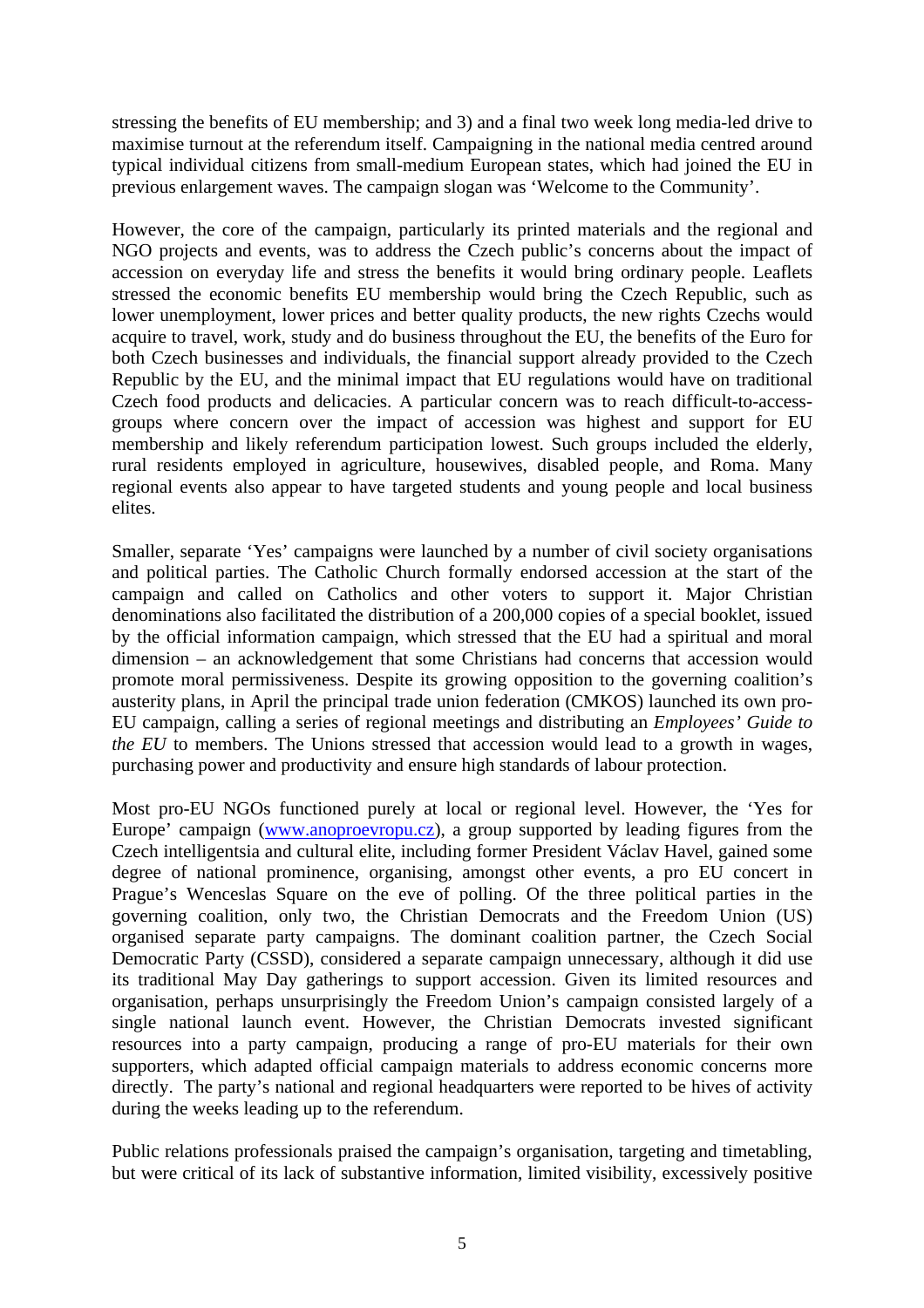stressing the benefits of EU membership; and 3) and a final two week long media-led drive to maximise turnout at the referendum itself. Campaigning in the national media centred around typical individual citizens from small-medium European states, which had joined the EU in previous enlargement waves. The campaign slogan was 'Welcome to the Community'.

However, the core of the campaign, particularly its printed materials and the regional and NGO projects and events, was to address the Czech public's concerns about the impact of accession on everyday life and stress the benefits it would bring ordinary people. Leaflets stressed the economic benefits EU membership would bring the Czech Republic, such as lower unemployment, lower prices and better quality products, the new rights Czechs would acquire to travel, work, study and do business throughout the EU, the benefits of the Euro for both Czech businesses and individuals, the financial support already provided to the Czech Republic by the EU, and the minimal impact that EU regulations would have on traditional Czech food products and delicacies. A particular concern was to reach difficult-to-accessgroups where concern over the impact of accession was highest and support for EU membership and likely referendum participation lowest. Such groups included the elderly, rural residents employed in agriculture, housewives, disabled people, and Roma. Many regional events also appear to have targeted students and young people and local business elites.

Smaller, separate 'Yes' campaigns were launched by a number of civil society organisations and political parties. The Catholic Church formally endorsed accession at the start of the campaign and called on Catholics and other voters to support it. Major Christian denominations also facilitated the distribution of a 200,000 copies of a special booklet, issued by the official information campaign, which stressed that the EU had a spiritual and moral dimension – an acknowledgement that some Christians had concerns that accession would promote moral permissiveness. Despite its growing opposition to the governing coalition's austerity plans, in April the principal trade union federation (CMKOS) launched its own pro-EU campaign, calling a series of regional meetings and distributing an *Employees' Guide to the EU* to members. The Unions stressed that accession would lead to a growth in wages, purchasing power and productivity and ensure high standards of labour protection.

Most pro-EU NGOs functioned purely at local or regional level. However, the 'Yes for Europe' campaign (www.anoproevropu.cz), a group supported by leading figures from the Czech intelligentsia and cultural elite, including former President Václav Havel, gained some degree of national prominence, organising, amongst other events, a pro EU concert in Prague's Wenceslas Square on the eve of polling. Of the three political parties in the governing coalition, only two, the Christian Democrats and the Freedom Union (US) organised separate party campaigns. The dominant coalition partner, the Czech Social Democratic Party (CSSD), considered a separate campaign unnecessary, although it did use its traditional May Day gatherings to support accession. Given its limited resources and organisation, perhaps unsurprisingly the Freedom Union's campaign consisted largely of a single national launch event. However, the Christian Democrats invested significant resources into a party campaign, producing a range of pro-EU materials for their own supporters, which adapted official campaign materials to address economic concerns more directly. The party's national and regional headquarters were reported to be hives of activity during the weeks leading up to the referendum.

Public relations professionals praised the campaign's organisation, targeting and timetabling, but were critical of its lack of substantive information, limited visibility, excessively positive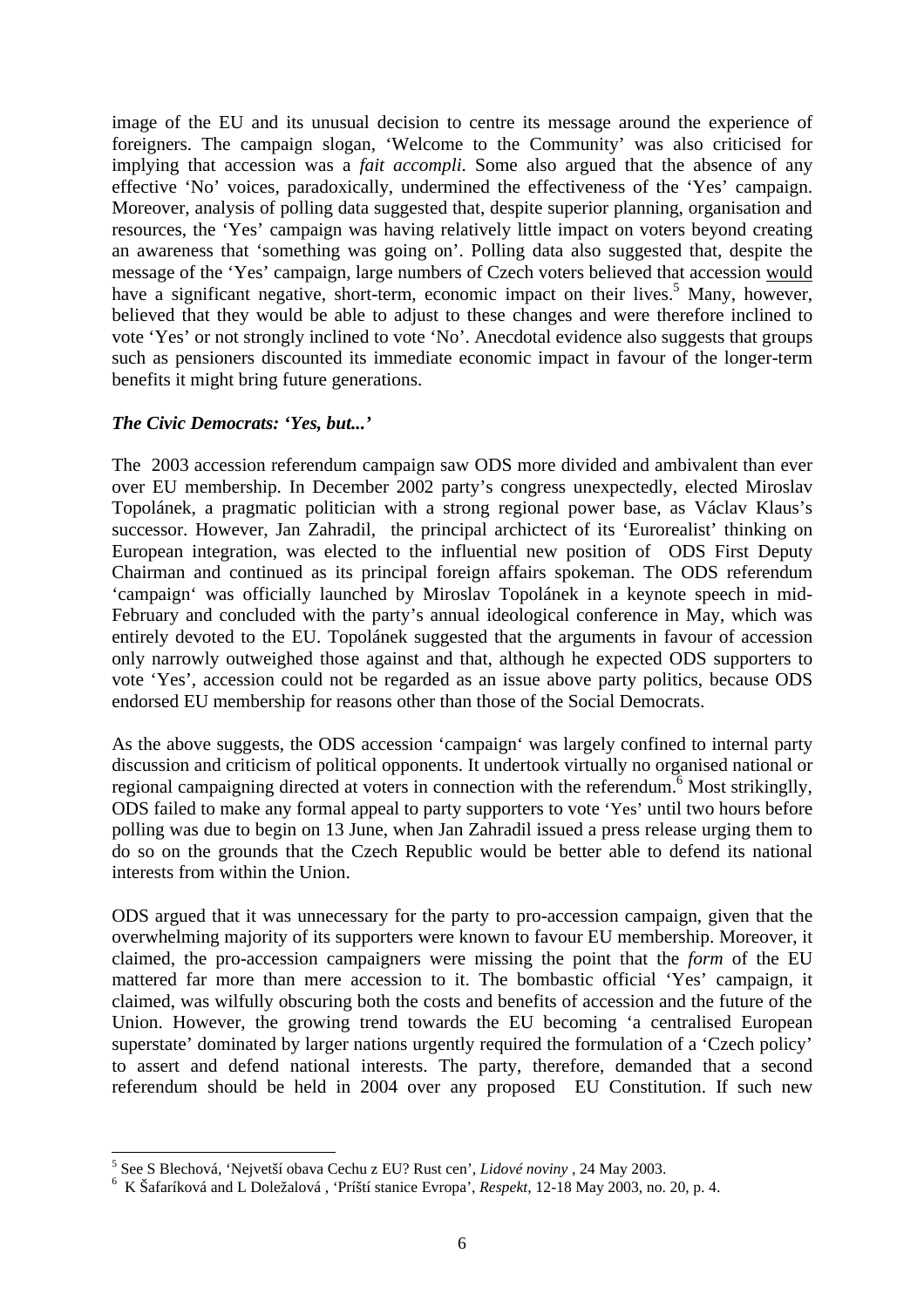image of the EU and its unusual decision to centre its message around the experience of foreigners. The campaign slogan, 'Welcome to the Community' was also criticised for implying that accession was a *fait accompli*. Some also argued that the absence of any effective 'No' voices, paradoxically, undermined the effectiveness of the 'Yes' campaign. Moreover, analysis of polling data suggested that, despite superior planning, organisation and resources, the 'Yes' campaign was having relatively little impact on voters beyond creating an awareness that 'something was going on'. Polling data also suggested that, despite the message of the 'Yes' campaign, large numbers of Czech voters believed that accession would have a significant negative, short-term, economic impact on their lives.<sup>5</sup> Many, however, believed that they would be able to adjust to these changes and were therefore inclined to vote 'Yes' or not strongly inclined to vote 'No'. Anecdotal evidence also suggests that groups such as pensioners discounted its immediate economic impact in favour of the longer-term benefits it might bring future generations.

#### *The Civic Democrats: 'Yes, but...'*

The 2003 accession referendum campaign saw ODS more divided and ambivalent than ever over EU membership. In December 2002 party's congress unexpectedly, elected Miroslav Topolánek, a pragmatic politician with a strong regional power base, as Václav Klaus's successor. However, Jan Zahradil, the principal archictect of its 'Eurorealist' thinking on European integration, was elected to the influential new position of ODS First Deputy Chairman and continued as its principal foreign affairs spokeman. The ODS referendum 'campaign' was officially launched by Miroslav Topolánek in a keynote speech in mid-February and concluded with the party's annual ideological conference in May, which was entirely devoted to the EU. Topolánek suggested that the arguments in favour of accession only narrowly outweighed those against and that, although he expected ODS supporters to vote 'Yes', accession could not be regarded as an issue above party politics, because ODS endorsed EU membership for reasons other than those of the Social Democrats.

As the above suggests, the ODS accession 'campaign' was largely confined to internal party discussion and criticism of political opponents. It undertook virtually no organised national or regional campaigning directed at voters in connection with the referendum.<sup>6</sup> Most strikinglly, ODS failed to make any formal appeal to party supporters to vote 'Yes' until two hours before polling was due to begin on 13 June, when Jan Zahradil issued a press release urging them to do so on the grounds that the Czech Republic would be better able to defend its national interests from within the Union.

ODS argued that it was unnecessary for the party to pro-accession campaign, given that the overwhelming majority of its supporters were known to favour EU membership. Moreover, it claimed, the pro-accession campaigners were missing the point that the *form* of the EU mattered far more than mere accession to it. The bombastic official 'Yes' campaign, it claimed, was wilfully obscuring both the costs and benefits of accession and the future of the Union. However, the growing trend towards the EU becoming 'a centralised European superstate' dominated by larger nations urgently required the formulation of a 'Czech policy' to assert and defend national interests. The party, therefore, demanded that a second referendum should be held in 2004 over any proposed EU Constitution. If such new

l 5 See S Blechová, 'Nejvetší obava Cechu z EU? Rust cen', *Lidové noviny* , 24 May 2003.

<sup>6</sup> K Šafaríková and L Doležalová , 'Príští stanice Evropa', *Respekt*, 12-18 May 2003, no. 20, p. 4.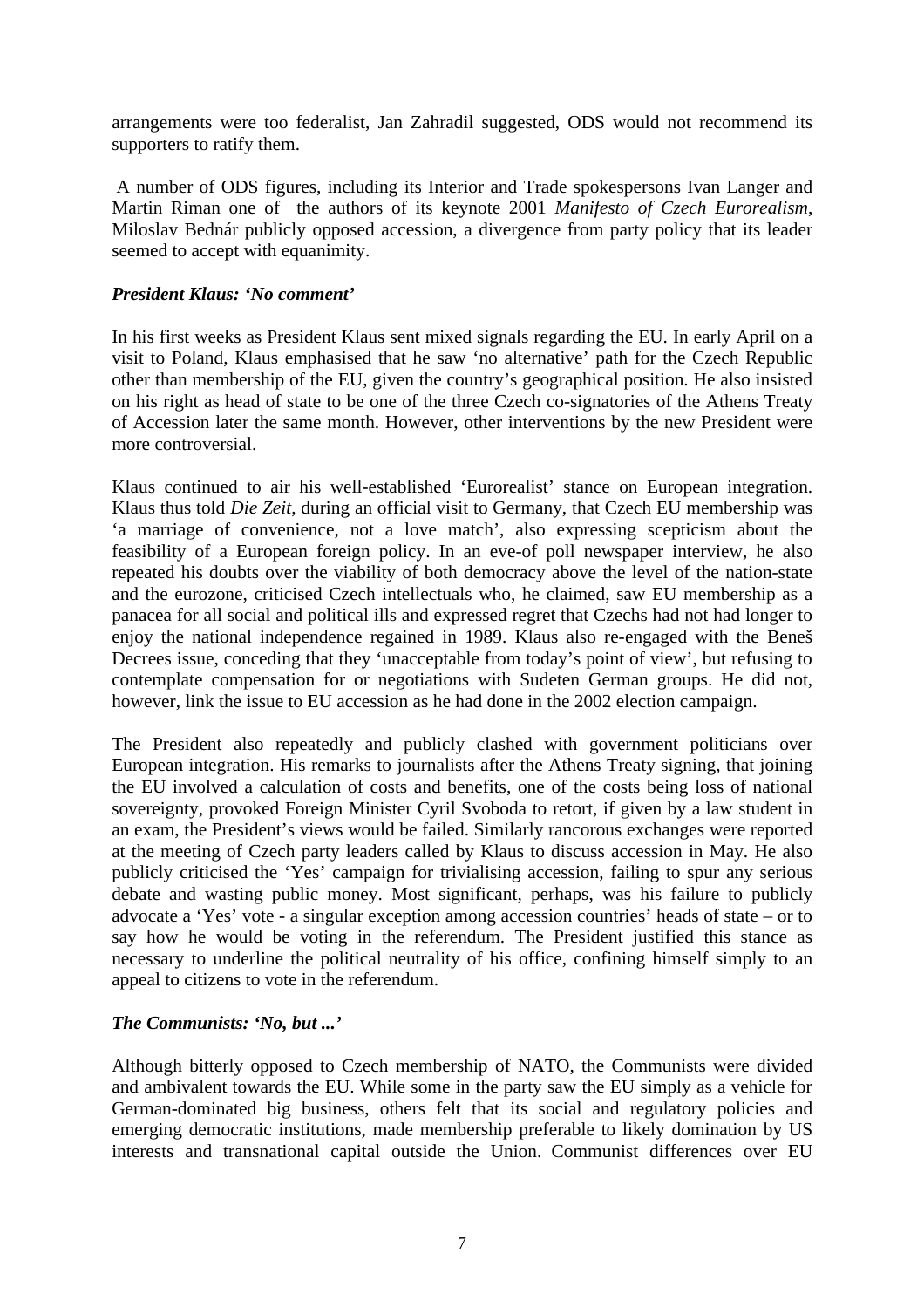arrangements were too federalist, Jan Zahradil suggested, ODS would not recommend its supporters to ratify them.

 A number of ODS figures, including its Interior and Trade spokespersons Ivan Langer and Martin Riman one of the authors of its keynote 2001 *Manifesto of Czech Eurorealism*, Miloslav Bednár publicly opposed accession, a divergence from party policy that its leader seemed to accept with equanimity.

#### *President Klaus: 'No comment'*

In his first weeks as President Klaus sent mixed signals regarding the EU. In early April on a visit to Poland, Klaus emphasised that he saw 'no alternative' path for the Czech Republic other than membership of the EU, given the country's geographical position. He also insisted on his right as head of state to be one of the three Czech co-signatories of the Athens Treaty of Accession later the same month. However, other interventions by the new President were more controversial.

Klaus continued to air his well-established 'Eurorealist' stance on European integration. Klaus thus told *Die Zeit*, during an official visit to Germany, that Czech EU membership was 'a marriage of convenience, not a love match', also expressing scepticism about the feasibility of a European foreign policy. In an eve-of poll newspaper interview*,* he also repeated his doubts over the viability of both democracy above the level of the nation-state and the eurozone, criticised Czech intellectuals who, he claimed, saw EU membership as a panacea for all social and political ills and expressed regret that Czechs had not had longer to enjoy the national independence regained in 1989. Klaus also re-engaged with the Beneš Decrees issue, conceding that they 'unacceptable from today's point of view', but refusing to contemplate compensation for or negotiations with Sudeten German groups. He did not, however, link the issue to EU accession as he had done in the 2002 election campaign.

The President also repeatedly and publicly clashed with government politicians over European integration. His remarks to journalists after the Athens Treaty signing, that joining the EU involved a calculation of costs and benefits, one of the costs being loss of national sovereignty, provoked Foreign Minister Cyril Svoboda to retort, if given by a law student in an exam, the President's views would be failed. Similarly rancorous exchanges were reported at the meeting of Czech party leaders called by Klaus to discuss accession in May. He also publicly criticised the 'Yes' campaign for trivialising accession, failing to spur any serious debate and wasting public money. Most significant, perhaps, was his failure to publicly advocate a 'Yes' vote - a singular exception among accession countries' heads of state – or to say how he would be voting in the referendum. The President justified this stance as necessary to underline the political neutrality of his office, confining himself simply to an appeal to citizens to vote in the referendum.

### *The Communists: 'No, but ...'*

Although bitterly opposed to Czech membership of NATO, the Communists were divided and ambivalent towards the EU. While some in the party saw the EU simply as a vehicle for German-dominated big business, others felt that its social and regulatory policies and emerging democratic institutions, made membership preferable to likely domination by US interests and transnational capital outside the Union. Communist differences over EU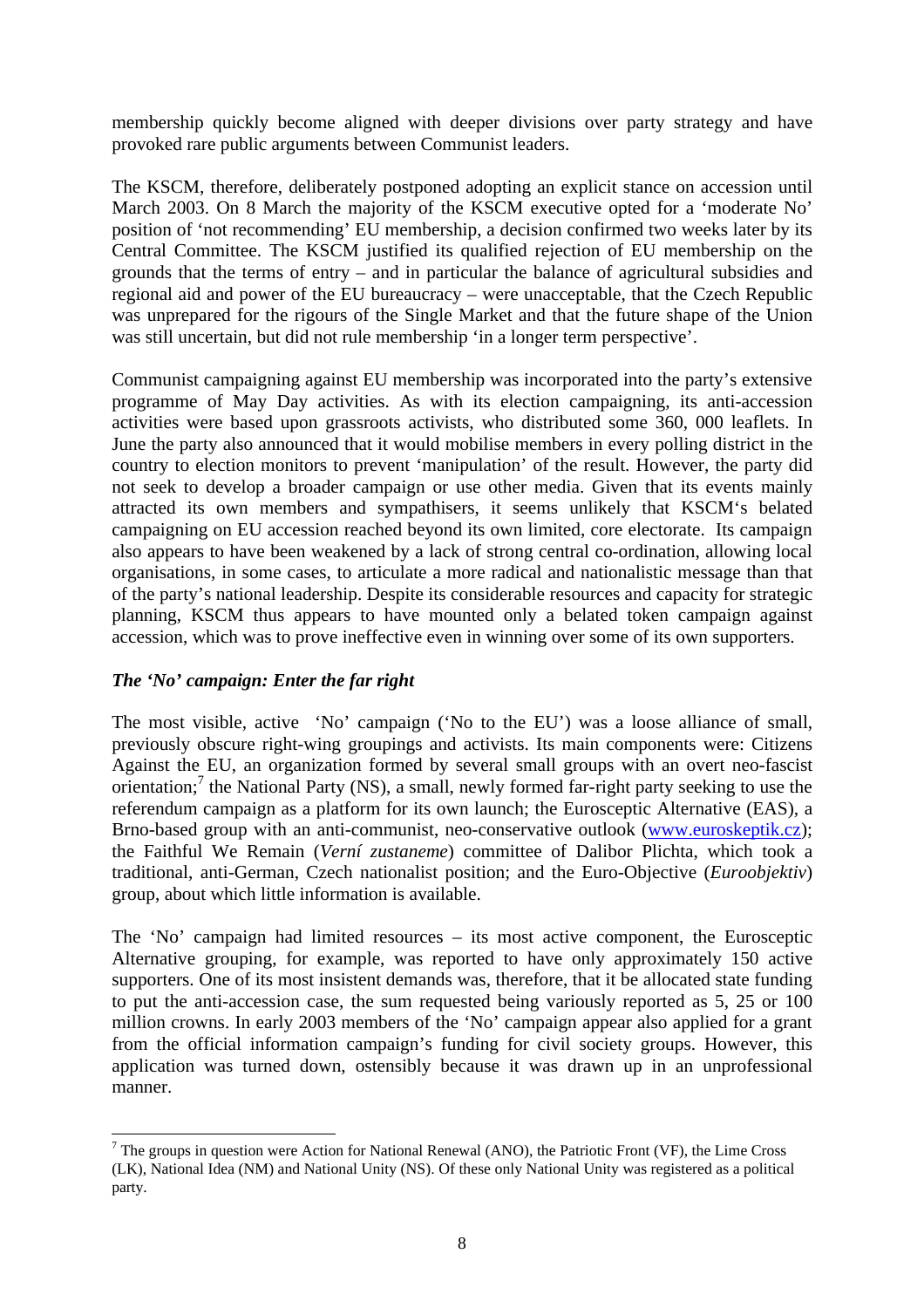membership quickly become aligned with deeper divisions over party strategy and have provoked rare public arguments between Communist leaders.

The KSCM, therefore, deliberately postponed adopting an explicit stance on accession until March 2003. On 8 March the majority of the KSCM executive opted for a 'moderate No' position of 'not recommending' EU membership, a decision confirmed two weeks later by its Central Committee. The KSCM justified its qualified rejection of EU membership on the grounds that the terms of entry – and in particular the balance of agricultural subsidies and regional aid and power of the EU bureaucracy – were unacceptable, that the Czech Republic was unprepared for the rigours of the Single Market and that the future shape of the Union was still uncertain, but did not rule membership 'in a longer term perspective'.

Communist campaigning against EU membership was incorporated into the party's extensive programme of May Day activities. As with its election campaigning, its anti-accession activities were based upon grassroots activists, who distributed some 360, 000 leaflets. In June the party also announced that it would mobilise members in every polling district in the country to election monitors to prevent 'manipulation' of the result. However, the party did not seek to develop a broader campaign or use other media. Given that its events mainly attracted its own members and sympathisers, it seems unlikely that KSCM's belated campaigning on EU accession reached beyond its own limited, core electorate. Its campaign also appears to have been weakened by a lack of strong central co-ordination, allowing local organisations, in some cases, to articulate a more radical and nationalistic message than that of the party's national leadership. Despite its considerable resources and capacity for strategic planning, KSCM thus appears to have mounted only a belated token campaign against accession, which was to prove ineffective even in winning over some of its own supporters.

### *The 'No' campaign: Enter the far right*

 $\overline{\phantom{a}}$ 

The most visible, active 'No' campaign ('No to the EU') was a loose alliance of small, previously obscure right-wing groupings and activists. Its main components were: Citizens Against the EU, an organization formed by several small groups with an overt neo-fascist orientation;<sup>7</sup> the National Party (NS), a small, newly formed far-right party seeking to use the referendum campaign as a platform for its own launch; the Eurosceptic Alternative (EAS), a Brno-based group with an anti-communist, neo-conservative outlook (www.euroskeptik.cz); the Faithful We Remain (*Verní zustaneme*) committee of Dalibor Plichta, which took a traditional, anti-German, Czech nationalist position; and the Euro-Objective (*Euroobjektiv*) group, about which little information is available.

The 'No' campaign had limited resources – its most active component, the Eurosceptic Alternative grouping, for example, was reported to have only approximately 150 active supporters. One of its most insistent demands was, therefore, that it be allocated state funding to put the anti-accession case, the sum requested being variously reported as 5, 25 or 100 million crowns. In early 2003 members of the 'No' campaign appear also applied for a grant from the official information campaign's funding for civil society groups. However, this application was turned down, ostensibly because it was drawn up in an unprofessional manner.

<sup>&</sup>lt;sup>7</sup> The groups in question were Action for National Renewal (ANO), the Patriotic Front (VF), the Lime Cross (LK), National Idea (NM) and National Unity (NS). Of these only National Unity was registered as a political party.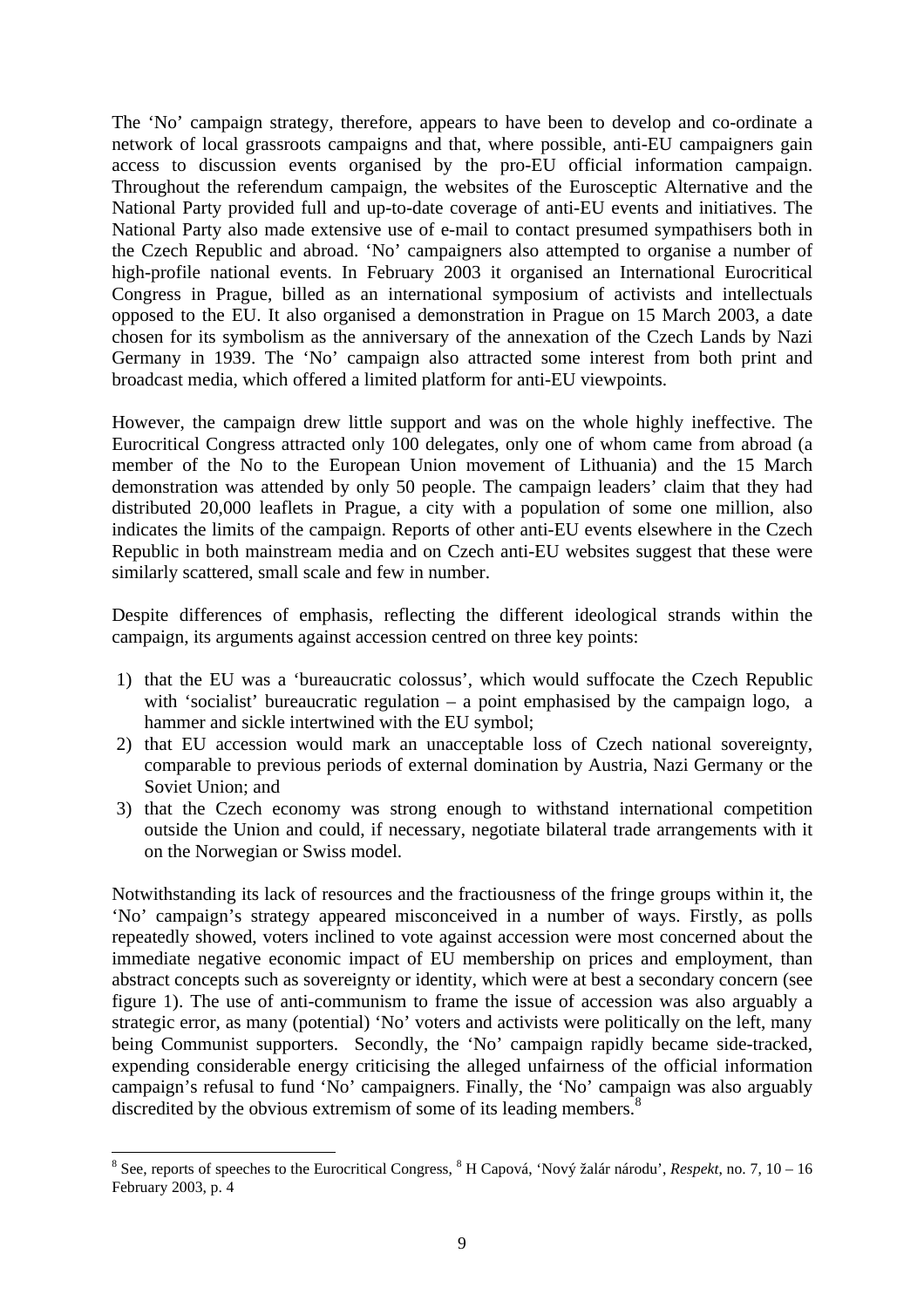The 'No' campaign strategy, therefore, appears to have been to develop and co-ordinate a network of local grassroots campaigns and that, where possible, anti-EU campaigners gain access to discussion events organised by the pro-EU official information campaign. Throughout the referendum campaign, the websites of the Eurosceptic Alternative and the National Party provided full and up-to-date coverage of anti-EU events and initiatives. The National Party also made extensive use of e-mail to contact presumed sympathisers both in the Czech Republic and abroad. 'No' campaigners also attempted to organise a number of high-profile national events. In February 2003 it organised an International Eurocritical Congress in Prague, billed as an international symposium of activists and intellectuals opposed to the EU. It also organised a demonstration in Prague on 15 March 2003, a date chosen for its symbolism as the anniversary of the annexation of the Czech Lands by Nazi Germany in 1939. The 'No' campaign also attracted some interest from both print and broadcast media, which offered a limited platform for anti-EU viewpoints.

However, the campaign drew little support and was on the whole highly ineffective. The Eurocritical Congress attracted only 100 delegates, only one of whom came from abroad (a member of the No to the European Union movement of Lithuania) and the 15 March demonstration was attended by only 50 people. The campaign leaders' claim that they had distributed 20,000 leaflets in Prague, a city with a population of some one million, also indicates the limits of the campaign. Reports of other anti-EU events elsewhere in the Czech Republic in both mainstream media and on Czech anti-EU websites suggest that these were similarly scattered, small scale and few in number.

Despite differences of emphasis, reflecting the different ideological strands within the campaign, its arguments against accession centred on three key points:

- 1) that the EU was a 'bureaucratic colossus', which would suffocate the Czech Republic with 'socialist' bureaucratic regulation – a point emphasised by the campaign logo, a hammer and sickle intertwined with the EU symbol;
- 2) that EU accession would mark an unacceptable loss of Czech national sovereignty, comparable to previous periods of external domination by Austria, Nazi Germany or the Soviet Union; and
- 3) that the Czech economy was strong enough to withstand international competition outside the Union and could, if necessary, negotiate bilateral trade arrangements with it on the Norwegian or Swiss model.

Notwithstanding its lack of resources and the fractiousness of the fringe groups within it, the 'No' campaign's strategy appeared misconceived in a number of ways. Firstly, as polls repeatedly showed, voters inclined to vote against accession were most concerned about the immediate negative economic impact of EU membership on prices and employment, than abstract concepts such as sovereignty or identity, which were at best a secondary concern (see figure 1). The use of anti-communism to frame the issue of accession was also arguably a strategic error, as many (potential) 'No' voters and activists were politically on the left, many being Communist supporters. Secondly, the 'No' campaign rapidly became side-tracked, expending considerable energy criticising the alleged unfairness of the official information campaign's refusal to fund 'No' campaigners. Finally, the 'No' campaign was also arguably discredited by the obvious extremism of some of its leading members.<sup>8</sup>

<sup>&</sup>lt;sup>8</sup> See, reports of speeches to the Eurocritical Congress, <sup>8</sup> H Capová, 'Nový žalár národu', *Respekt*, no. 7, 10 – 16 February 2003, p. 4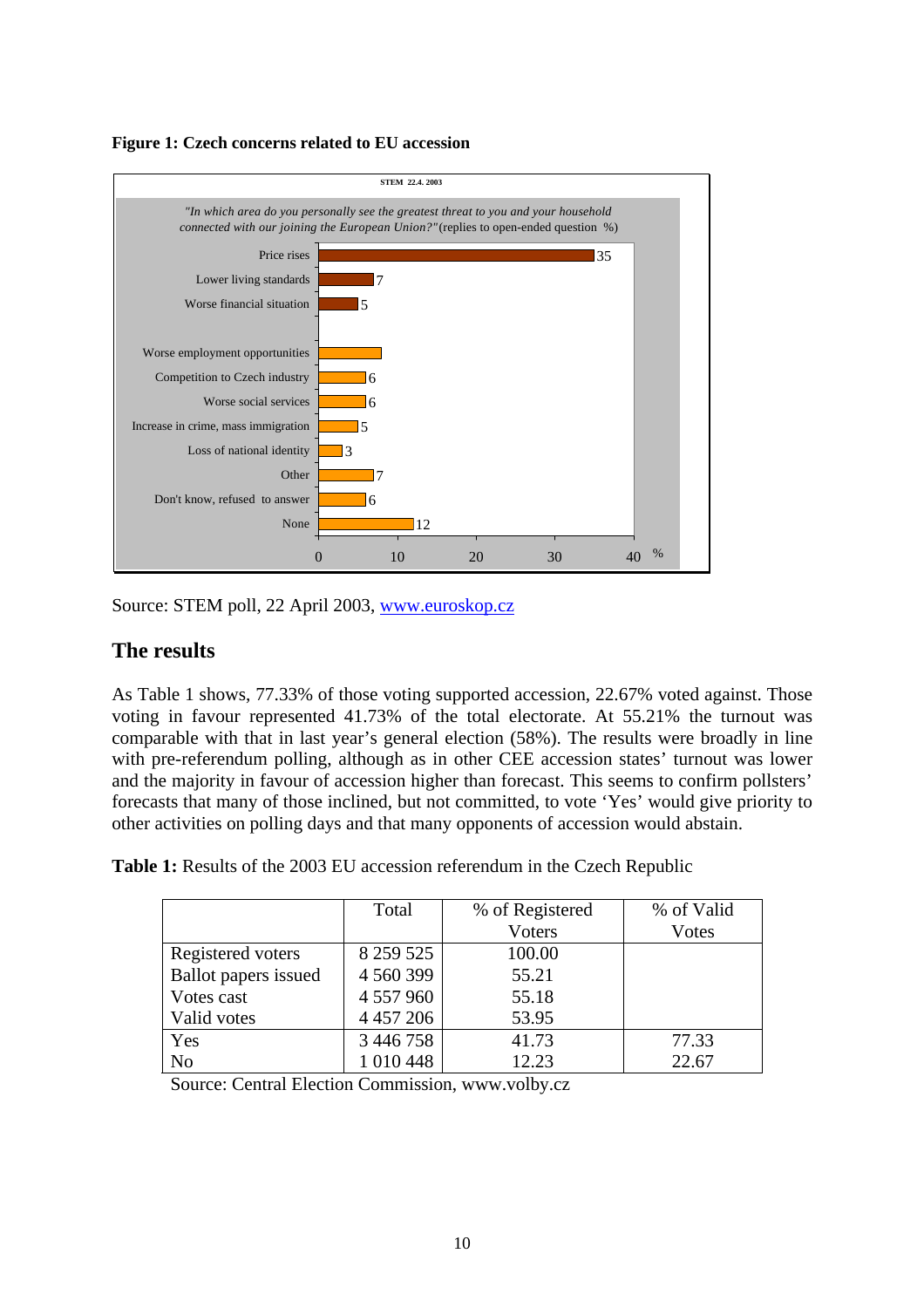



Source: STEM poll, 22 April 2003, www.euroskop.cz

## **The results**

As Table 1 shows, 77.33% of those voting supported accession, 22.67% voted against. Those voting in favour represented 41.73% of the total electorate. At 55.21% the turnout was comparable with that in last year's general election (58%). The results were broadly in line with pre-referendum polling, although as in other CEE accession states' turnout was lower and the majority in favour of accession higher than forecast. This seems to confirm pollsters' forecasts that many of those inclined, but not committed, to vote 'Yes' would give priority to other activities on polling days and that many opponents of accession would abstain.

|  |  | <b>Table 1:</b> Results of the 2003 EU accession referendum in the Czech Republic |  |  |  |  |
|--|--|-----------------------------------------------------------------------------------|--|--|--|--|
|  |  |                                                                                   |  |  |  |  |

|                      | Total         | % of Registered | % of Valid   |
|----------------------|---------------|-----------------|--------------|
|                      |               | <b>Voters</b>   | <b>Votes</b> |
| Registered voters    | 8 2 5 9 5 2 5 | 100.00          |              |
| Ballot papers issued | 4 560 399     | 55.21           |              |
| Votes cast           | 4 5 5 7 9 6 0 | 55.18           |              |
| Valid votes          | 4 4 5 7 2 0 6 | 53.95           |              |
| Yes                  | 3 446 758     | 41.73           | 77.33        |
| No                   | 1 010 448     | 12.23           | 22.67        |

Source: Central Election Commission, www.volby.cz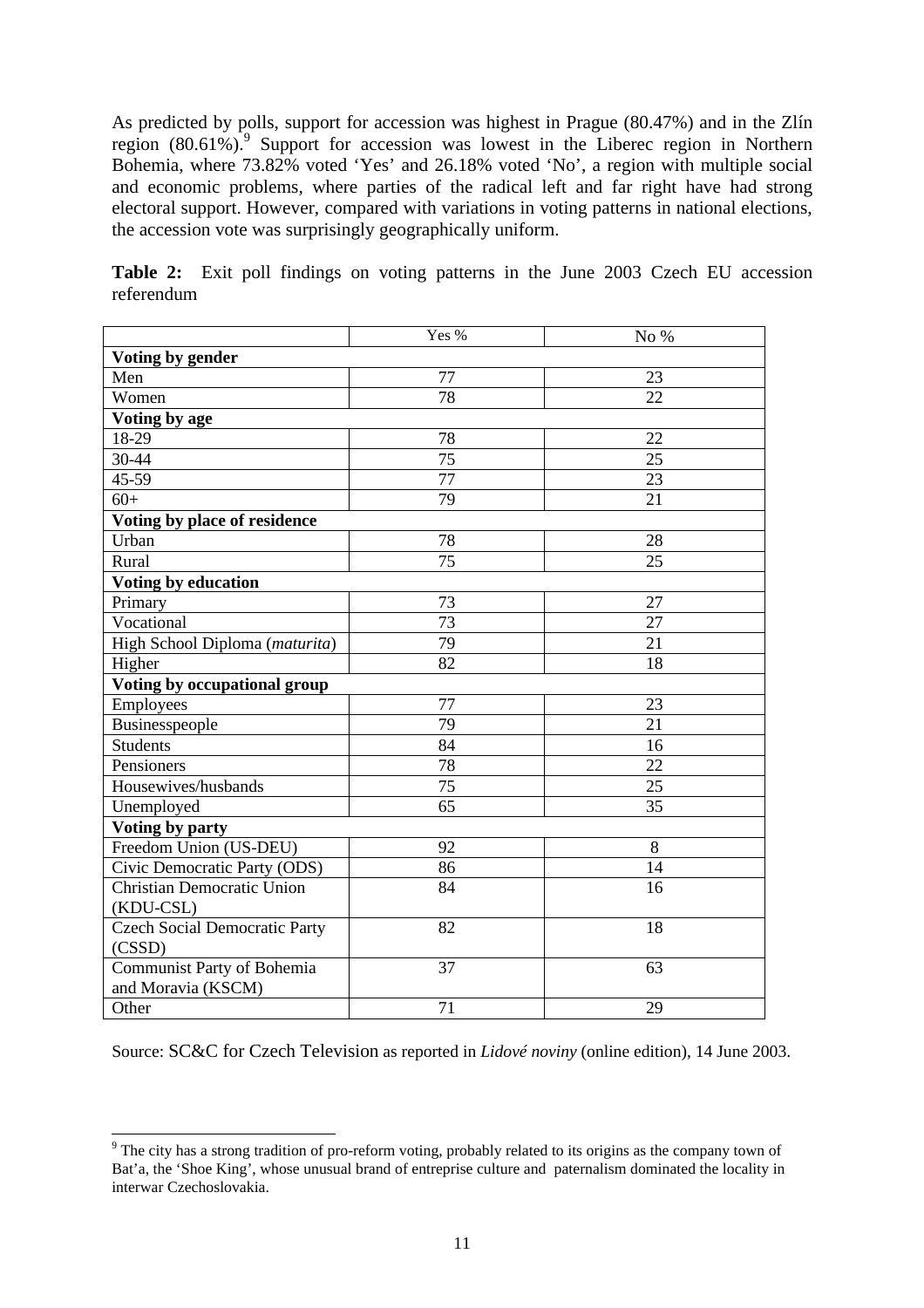As predicted by polls, support for accession was highest in Prague (80.47%) and in the Zlín region  $(80.61\%)$ <sup>9</sup> Support for accession was lowest in the Liberec region in Northern Bohemia, where 73.82% voted 'Yes' and 26.18% voted 'No', a region with multiple social and economic problems, where parties of the radical left and far right have had strong electoral support. However, compared with variations in voting patterns in national elections, the accession vote was surprisingly geographically uniform.

| Table 2: Exit poll findings on voting patterns in the June 2003 Czech EU accession |  |  |  |  |  |  |  |
|------------------------------------------------------------------------------------|--|--|--|--|--|--|--|
| referendum                                                                         |  |  |  |  |  |  |  |

|                                      | Yes %           | No% |
|--------------------------------------|-----------------|-----|
| Voting by gender                     |                 |     |
| Men                                  | 77              | 23  |
| Women                                | 78              | 22  |
| Voting by age                        |                 |     |
| 18-29                                | 78              | 22  |
| 30-44                                | 75              | 25  |
| 45-59                                | $\overline{77}$ | 23  |
| $60+$                                | 79              | 21  |
| Voting by place of residence         |                 |     |
| Urban                                | 78              | 28  |
| Rural                                | $\overline{75}$ | 25  |
| <b>Voting by education</b>           |                 |     |
| Primary                              | 73              | 27  |
| Vocational                           | 73              | 27  |
| High School Diploma (maturita)       | 79              | 21  |
| Higher                               | 82              | 18  |
| Voting by occupational group         |                 |     |
| Employees                            | 77              | 23  |
| Businesspeople                       | 79              | 21  |
| <b>Students</b>                      | 84              | 16  |
| Pensioners                           | 78              | 22  |
| Housewives/husbands                  | 75              | 25  |
| Unemployed                           | 65              | 35  |
| Voting by party                      |                 |     |
| Freedom Union (US-DEU)               | 92              | 8   |
| Civic Democratic Party (ODS)         | 86              | 14  |
| Christian Democratic Union           | 84              | 16  |
| (KDU-CSL)                            |                 |     |
| <b>Czech Social Democratic Party</b> | 82              | 18  |
| (CSSD)                               |                 |     |
| Communist Party of Bohemia           | 37              | 63  |
| and Moravia (KSCM)                   |                 |     |
| Other                                | 71              | 29  |

Source: SC&C for Czech Television as reported in *Lidové noviny* (online edition), 14 June 2003.

 $\overline{\phantom{a}}$ 

<sup>&</sup>lt;sup>9</sup> The city has a strong tradition of pro-reform voting, probably related to its origins as the company town of Bat'a, the 'Shoe King', whose unusual brand of entreprise culture and paternalism dominated the locality in interwar Czechoslovakia.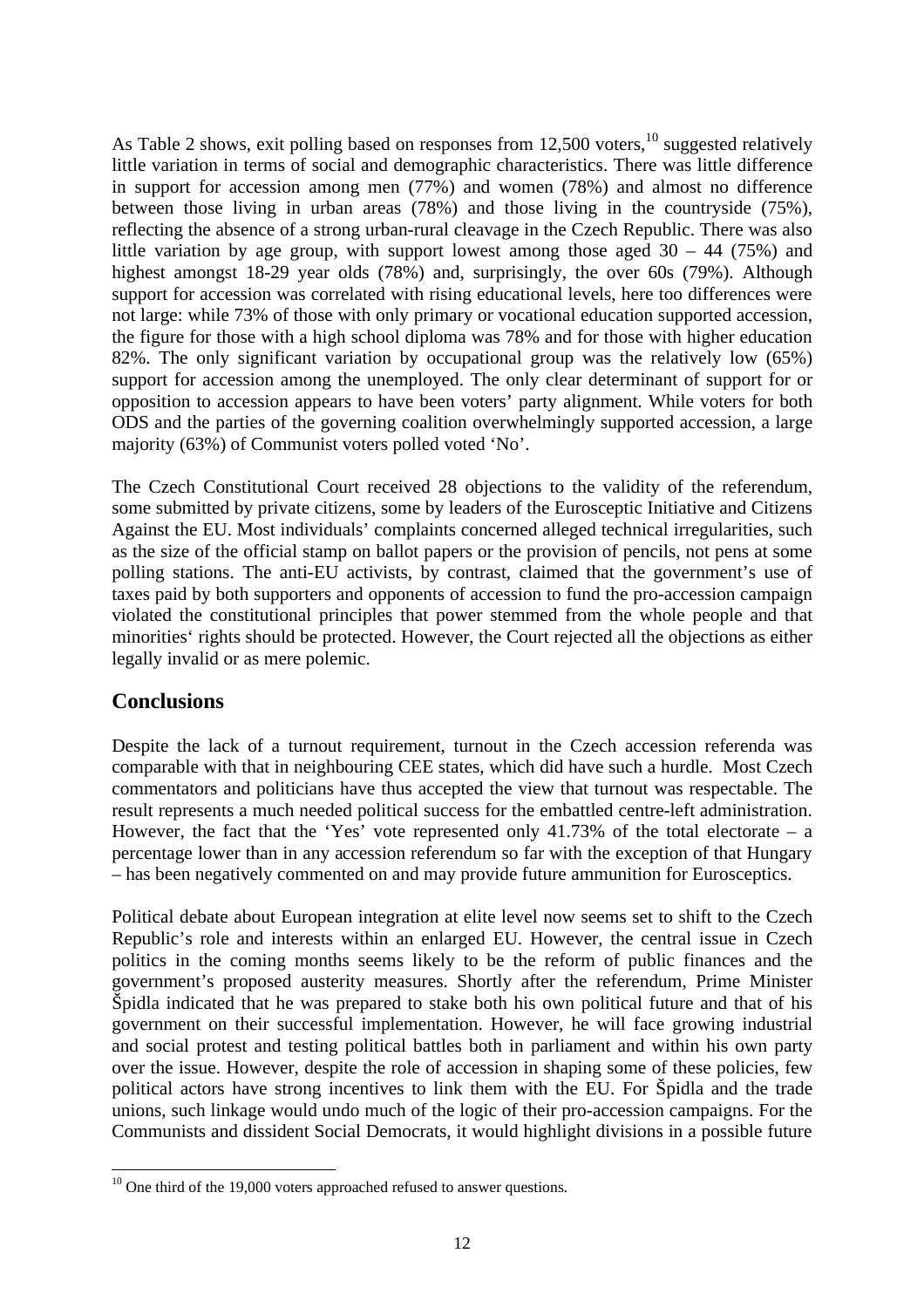As Table 2 shows, exit polling based on responses from  $12,500$  voters,<sup>10</sup> suggested relatively little variation in terms of social and demographic characteristics. There was little difference in support for accession among men (77%) and women (78%) and almost no difference between those living in urban areas (78%) and those living in the countryside (75%), reflecting the absence of a strong urban-rural cleavage in the Czech Republic. There was also little variation by age group, with support lowest among those aged  $30 - 44$  (75%) and highest amongst 18-29 year olds (78%) and, surprisingly, the over 60s (79%). Although support for accession was correlated with rising educational levels, here too differences were not large: while 73% of those with only primary or vocational education supported accession, the figure for those with a high school diploma was 78% and for those with higher education 82%. The only significant variation by occupational group was the relatively low (65%) support for accession among the unemployed. The only clear determinant of support for or opposition to accession appears to have been voters' party alignment. While voters for both ODS and the parties of the governing coalition overwhelmingly supported accession, a large majority (63%) of Communist voters polled voted 'No'.

The Czech Constitutional Court received 28 objections to the validity of the referendum, some submitted by private citizens, some by leaders of the Eurosceptic Initiative and Citizens Against the EU. Most individuals' complaints concerned alleged technical irregularities, such as the size of the official stamp on ballot papers or the provision of pencils, not pens at some polling stations. The anti-EU activists, by contrast, claimed that the government's use of taxes paid by both supporters and opponents of accession to fund the pro-accession campaign violated the constitutional principles that power stemmed from the whole people and that minorities' rights should be protected. However, the Court rejected all the objections as either legally invalid or as mere polemic.

## **Conclusions**

Despite the lack of a turnout requirement, turnout in the Czech accession referenda was comparable with that in neighbouring CEE states, which did have such a hurdle. Most Czech commentators and politicians have thus accepted the view that turnout was respectable. The result represents a much needed political success for the embattled centre-left administration. However, the fact that the 'Yes' vote represented only  $41.73\%$  of the total electorate – a percentage lower than in any accession referendum so far with the exception of that Hungary – has been negatively commented on and may provide future ammunition for Eurosceptics.

Political debate about European integration at elite level now seems set to shift to the Czech Republic's role and interests within an enlarged EU. However, the central issue in Czech politics in the coming months seems likely to be the reform of public finances and the government's proposed austerity measures. Shortly after the referendum, Prime Minister Špidla indicated that he was prepared to stake both his own political future and that of his government on their successful implementation. However, he will face growing industrial and social protest and testing political battles both in parliament and within his own party over the issue. However, despite the role of accession in shaping some of these policies, few political actors have strong incentives to link them with the EU. For Špidla and the trade unions, such linkage would undo much of the logic of their pro-accession campaigns. For the Communists and dissident Social Democrats, it would highlight divisions in a possible future

l  $10$  One third of the 19,000 voters approached refused to answer questions.